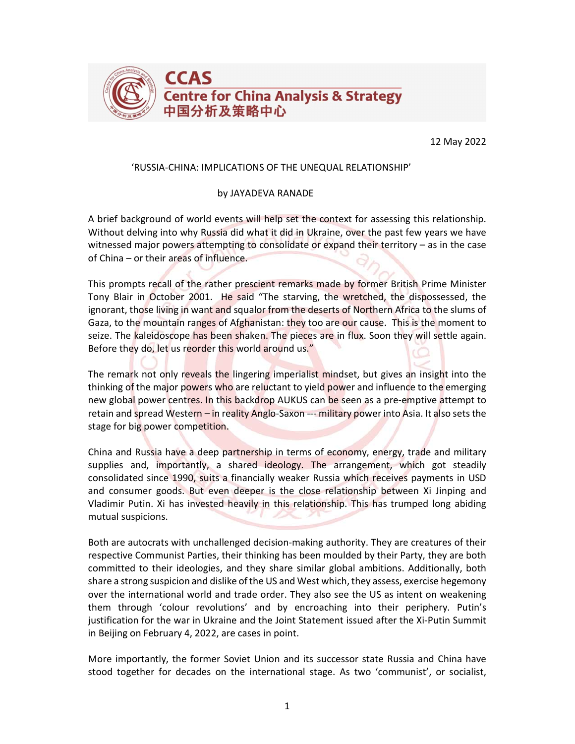

12 May 2022

## 'RUSSIA-CHINA: IMPLICATIONS OF THE UNEQUAL RELATIONSHIP'

## by JAYADEVA RANADE

A brief background of world events will help set the context for assessing this relationship. Without delving into why Russia did what it did in Ukraine, over the past few years we have witnessed major powers attempting to consolidate or expand their territory – as in the case of China – or their areas of influence.

This prompts recall of the rather prescient remarks made by former British Prime Minister Tony Blair in October 2001. He said "The starving, the wretched, the dispossessed, the ignorant, those living in want and squalor from the deserts of Northern Africa to the slums of Gaza, to the mountain ranges of Afghanistan: they too are our cause. This is the moment to seize. The kaleidoscope has been shaken. The pieces are in flux. Soon they will settle again. Before they do, let us reorder this world around us."

The remark not only reveals the lingering imperialist mindset, but gives an insight into the thinking of the major powers who are reluctant to yield power and influence to the emerging new global power centres. In this backdrop AUKUS can be seen as a pre-emptive attempt to retain and spread Western – in reality Anglo-Saxon --- military power into Asia. It also sets the stage for big power competition.

China and Russia have a deep partnership in terms of economy, energy, trade and military supplies and, importantly, a shared ideology. The arrangement, which got steadily consolidated since 1990, suits a financially weaker Russia which receives payments in USD and consumer goods. But even deeper is the close relationship between Xi Jinping and Vladimir Putin. Xi has invested heavily in this relationship. This has trumped long abiding mutual suspicions.

Both are autocrats with unchallenged decision-making authority. They are creatures of their respective Communist Parties, their thinking has been moulded by their Party, they are both committed to their ideologies, and they share similar global ambitions. Additionally, both share a strong suspicion and dislike of the US and West which, they assess, exercise hegemony over the international world and trade order. They also see the US as intent on weakening them through 'colour revolutions' and by encroaching into their periphery. Putin's justification for the war in Ukraine and the Joint Statement issued after the Xi-Putin Summit in Beijing on February 4, 2022, are cases in point.

More importantly, the former Soviet Union and its successor state Russia and China have stood together for decades on the international stage. As two 'communist', or socialist,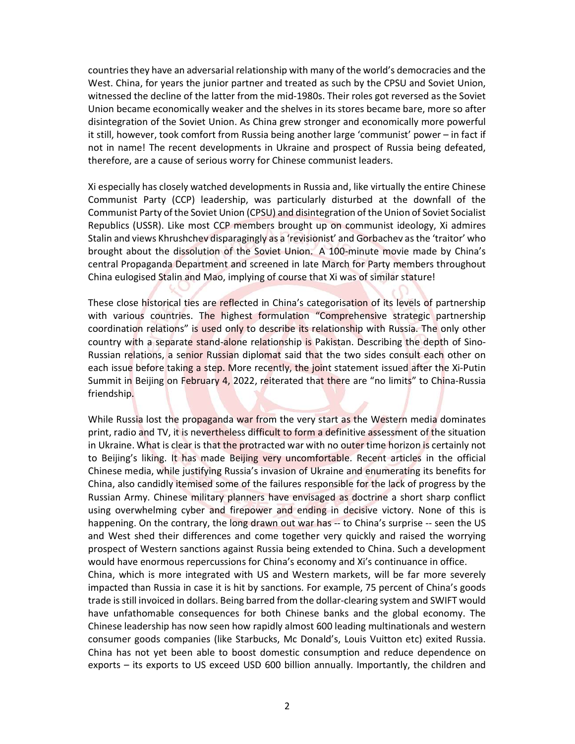countries they have an adversarial relationship with many of the world's democracies and the West. China, for years the junior partner and treated as such by the CPSU and Soviet Union, witnessed the decline of the latter from the mid-1980s. Their roles got reversed as the Soviet Union became economically weaker and the shelves in its stores became bare, more so after disintegration of the Soviet Union. As China grew stronger and economically more powerful it still, however, took comfort from Russia being another large 'communist' power – in fact if not in name! The recent developments in Ukraine and prospect of Russia being defeated, therefore, are a cause of serious worry for Chinese communist leaders.

Xi especially has closely watched developments in Russia and, like virtually the entire Chinese Communist Party (CCP) leadership, was particularly disturbed at the downfall of the Communist Party of the Soviet Union (CPSU) and disintegration of the Union of Soviet Socialist Republics (USSR). Like most CCP members brought up on communist ideology, Xi admires Stalin and views Khrushchev disparagingly as a 'revisionist' and Gorbachev as the 'traitor' who brought about the dissolution of the Soviet Union. A 100-minute movie made by China's central Propaganda Department and screened in late March for Party members throughout China eulogised Stalin and Mao, implying of course that Xi was of similar stature!

These close historical ties are reflected in China's categorisation of its levels of partnership with various countries. The highest formulation "Comprehensive strategic partnership coordination relations" is used only to describe its relationship with Russia. The only other country with a separate stand-alone relationship is Pakistan. Describing the depth of Sino-Russian relations, a senior Russian diplomat said that the two sides consult each other on each issue before taking a step. More recently, the joint statement issued after the Xi-Putin Summit in Beijing on February 4, 2022, reiterated that there are "no limits" to China-Russia friendship.

While Russia lost the propaganda war from the very start as the Western media dominates print, radio and TV, it is nevertheless difficult to form a definitive assessment of the situation in Ukraine. What is clear is that the protracted war with no outer time horizon is certainly not to Beijing's liking. It has made Beijing very uncomfortable. Recent articles in the official Chinese media, while justifying Russia's invasion of Ukraine and enumerating its benefits for China, also candidly itemised some of the failures responsible for the lack of progress by the Russian Army. Chinese military planners have envisaged as doctrine a short sharp conflict using overwhelming cyber and firepower and ending in decisive victory. None of this is happening. On the contrary, the long drawn out war has -- to China's surprise -- seen the US and West shed their differences and come together very quickly and raised the worrying prospect of Western sanctions against Russia being extended to China. Such a development would have enormous repercussions for China's economy and Xi's continuance in office. China, which is more integrated with US and Western markets, will be far more severely

impacted than Russia in case it is hit by sanctions. For example, 75 percent of China's goods trade is still invoiced in dollars. Being barred from the dollar-clearing system and SWIFT would have unfathomable consequences for both Chinese banks and the global economy. The Chinese leadership has now seen how rapidly almost 600 leading multinationals and western consumer goods companies (like Starbucks, Mc Donald's, Louis Vuitton etc) exited Russia. China has not yet been able to boost domestic consumption and reduce dependence on exports – its exports to US exceed USD 600 billion annually. Importantly, the children and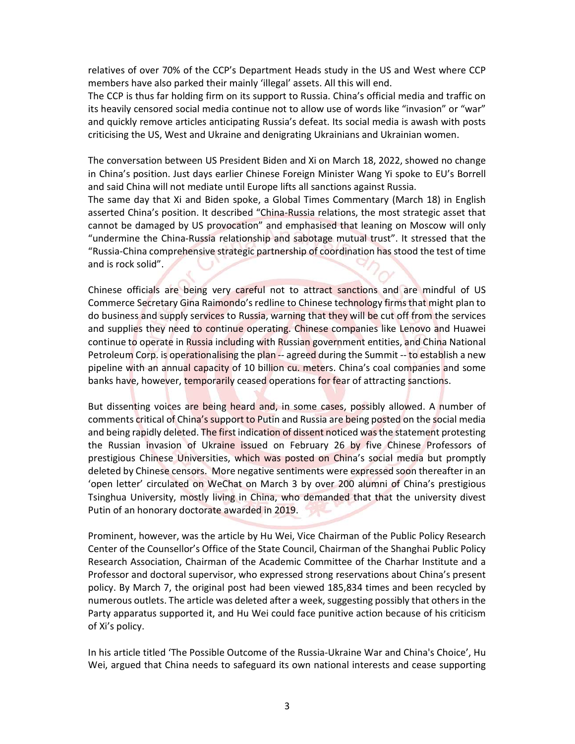relatives of over 70% of the CCP's Department Heads study in the US and West where CCP members have also parked their mainly 'illegal' assets. All this will end.

The CCP is thus far holding firm on its support to Russia. China's official media and traffic on its heavily censored social media continue not to allow use of words like "invasion" or "war" and quickly remove articles anticipating Russia's defeat. Its social media is awash with posts criticising the US, West and Ukraine and denigrating Ukrainians and Ukrainian women.

The conversation between US President Biden and Xi on March 18, 2022, showed no change in China's position. Just days earlier Chinese Foreign Minister Wang Yi spoke to EU's Borrell and said China will not mediate until Europe lifts all sanctions against Russia.

The same day that Xi and Biden spoke, a Global Times Commentary (March 18) in English asserted China's position. It described "China-Russia relations, the most strategic asset that cannot be damaged by US provocation" and emphasised that leaning on Moscow will only "undermine the China-Russia relationship and sabotage mutual trust". It stressed that the "Russia-China comprehensive strategic partnership of coordination has stood the test of time and is rock solid".

Chinese officials are being very careful not to attract sanctions and are mindful of US Commerce Secretary Gina Raimondo's redline to Chinese technology firms that might plan to do business and supply services to Russia, warning that they will be cut off from the services and supplies they need to continue operating. Chinese companies like Lenovo and Huawei continue to operate in Russia including with Russian government entities, and China National Petroleum Corp. is operationalising the plan -- agreed during the Summit -- to establish a new pipeline with an annual capacity of 10 billion cu. meters. China's coal companies and some banks have, however, temporarily ceased operations for fear of attracting sanctions.

But dissenting voices are being heard and, in some cases, possibly allowed. A number of comments critical of China's support to Putin and Russia are being posted on the social media and being rapidly deleted. The first indication of dissent noticed was the statement protesting the Russian invasion of Ukraine issued on February 26 by five Chinese Professors of prestigious Chinese Universities, which was posted on China's social media but promptly deleted by Chinese censors. More negative sentiments were expressed soon thereafter in an 'open letter' circulated on WeChat on March 3 by over 200 alumni of China's prestigious Tsinghua University, mostly living in China, who demanded that that the university divest Putin of an honorary doctorate awarded in 2019.

Prominent, however, was the article by Hu Wei, Vice Chairman of the Public Policy Research Center of the Counsellor's Office of the State Council, Chairman of the Shanghai Public Policy Research Association, Chairman of the Academic Committee of the Charhar Institute and a Professor and doctoral supervisor, who expressed strong reservations about China's present policy. By March 7, the original post had been viewed 185,834 times and been recycled by numerous outlets. The article was deleted after a week, suggesting possibly that others in the Party apparatus supported it, and Hu Wei could face punitive action because of his criticism of Xi's policy.

In his article titled 'The Possible Outcome of the Russia-Ukraine War and China's Choice', Hu Wei, argued that China needs to safeguard its own national interests and cease supporting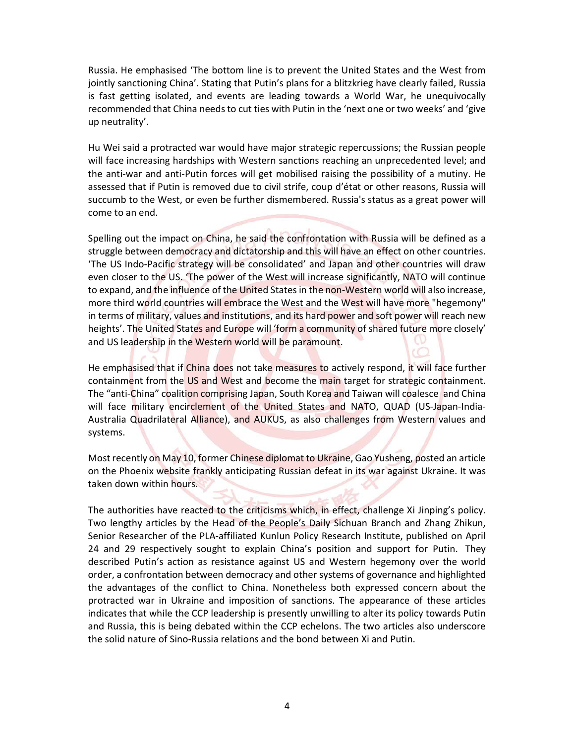Russia. He emphasised 'The bottom line is to prevent the United States and the West from jointly sanctioning China'. Stating that Putin's plans for a blitzkrieg have clearly failed, Russia is fast getting isolated, and events are leading towards a World War, he unequivocally recommended that China needs to cut ties with Putin in the 'next one or two weeks' and 'give up neutrality'.

Hu Wei said a protracted war would have major strategic repercussions; the Russian people will face increasing hardships with Western sanctions reaching an unprecedented level; and the anti-war and anti-Putin forces will get mobilised raising the possibility of a mutiny. He assessed that if Putin is removed due to civil strife, coup d'état or other reasons, Russia will succumb to the West, or even be further dismembered. Russia's status as a great power will come to an end.

Spelling out the impact on China, he said the confrontation with Russia will be defined as a struggle between democracy and dictatorship and this will have an effect on other countries. 'The US Indo-Pacific strategy will be consolidated' and Japan and other countries will draw even closer to the US. 'The power of the West will increase significantly, NATO will continue to expand, and the influence of the United States in the non-Western world will also increase, more third world countries will embrace the West and the West will have more "hegemony" in terms of military, values and institutions, and its hard power and soft power will reach new heights'. The United States and Europe will 'form a community of shared future more closely' and US leadership in the Western world will be paramount.

He emphasised that if China does not take measures to actively respond, it will face further containment from the US and West and become the main target for strategic containment. The "anti-China" coalition comprising Japan, South Korea and Taiwan will coalesce and China will face military encirclement of the United States and NATO, QUAD (US-Japan-India-Australia Quadrilateral Alliance), and AUKUS, as also challenges from Western values and systems.

Most recently on May 10, former Chinese diplomat to Ukraine, Gao Yusheng, posted an article on the Phoenix website frankly anticipating Russian defeat in its war against Ukraine. It was taken down within hours.

The authorities have reacted to the criticisms which, in effect, challenge Xi Jinping's policy. Two lengthy articles by the Head of the People's Daily Sichuan Branch and Zhang Zhikun, Senior Researcher of the PLA-affiliated Kunlun Policy Research Institute, published on April 24 and 29 respectively sought to explain China's position and support for Putin. They described Putin's action as resistance against US and Western hegemony over the world order, a confrontation between democracy and other systems of governance and highlighted the advantages of the conflict to China. Nonetheless both expressed concern about the protracted war in Ukraine and imposition of sanctions. The appearance of these articles indicates that while the CCP leadership is presently unwilling to alter its policy towards Putin and Russia, this is being debated within the CCP echelons. The two articles also underscore the solid nature of Sino-Russia relations and the bond between Xi and Putin.